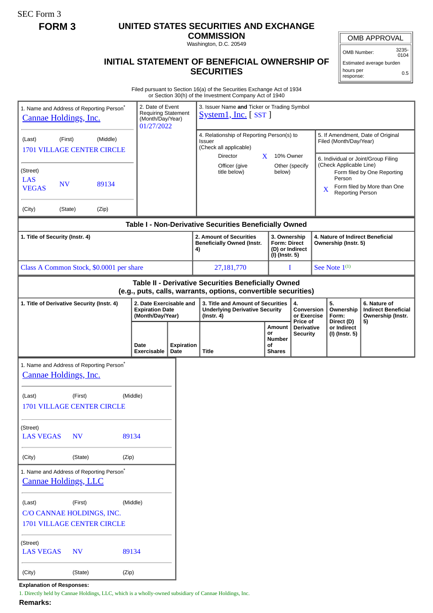SEC Form 3

# **FORM 3 UNITED STATES SECURITIES AND EXCHANGE**

**COMMISSION** Washington, D.C. 20549

OMB APPROVAL

OMB Number: 3235- 0104

0.5

Estimated average burden hours per

response:

### **INITIAL STATEMENT OF BENEFICIAL OWNERSHIP OF SECURITIES**

Filed pursuant to Section 16(a) of the Securities Exchange Act of 1934 or Section 30(h) of the Investment Company Act of 1940

|                                                                                                                       |           |       |                                                                                  |                                                                       |                                                                             | or Section 30(ii) or the investment Company Act or 1940                                                                                  |  |                                               |                                                          |                                                                                                                                 |                                                                                                    |                                                                       |  |
|-----------------------------------------------------------------------------------------------------------------------|-----------|-------|----------------------------------------------------------------------------------|-----------------------------------------------------------------------|-----------------------------------------------------------------------------|------------------------------------------------------------------------------------------------------------------------------------------|--|-----------------------------------------------|----------------------------------------------------------|---------------------------------------------------------------------------------------------------------------------------------|----------------------------------------------------------------------------------------------------|-----------------------------------------------------------------------|--|
| 1. Name and Address of Reporting Person*<br>Cannae Holdings, Inc.                                                     |           |       | 2. Date of Event<br><b>Requiring Statement</b><br>(Month/Day/Year)<br>01/27/2022 |                                                                       | 3. Issuer Name and Ticker or Trading Symbol<br>$S$ ystem1, Inc. $[$ SST $]$ |                                                                                                                                          |  |                                               |                                                          |                                                                                                                                 |                                                                                                    |                                                                       |  |
| (Middle)<br>(Last)<br>(First)<br><b>1701 VILLAGE CENTER CIRCLE</b>                                                    |           |       |                                                                                  |                                                                       |                                                                             | 4. Relationship of Reporting Person(s) to<br>Issuer<br>(Check all applicable)<br>Director<br>X                                           |  |                                               | 10% Owner                                                |                                                                                                                                 | 5. If Amendment, Date of Original<br>Filed (Month/Day/Year)<br>6. Individual or Joint/Group Filing |                                                                       |  |
| (Street)<br><b>LAS</b><br><b>NV</b><br>89134<br><b>VEGAS</b>                                                          |           |       |                                                                                  |                                                                       |                                                                             | Officer (give<br>title below)                                                                                                            |  | Other (specify<br>below)                      |                                                          | (Check Applicable Line)<br>Form filed by One Reporting<br>Person<br>Form filed by More than One<br>X<br><b>Reporting Person</b> |                                                                                                    |                                                                       |  |
| (City)                                                                                                                | (State)   | (Zip) |                                                                                  |                                                                       |                                                                             |                                                                                                                                          |  |                                               |                                                          |                                                                                                                                 |                                                                                                    |                                                                       |  |
|                                                                                                                       |           |       |                                                                                  |                                                                       |                                                                             | Table I - Non-Derivative Securities Beneficially Owned                                                                                   |  |                                               |                                                          |                                                                                                                                 |                                                                                                    |                                                                       |  |
| 1. Title of Security (Instr. 4)                                                                                       |           |       |                                                                                  |                                                                       | 4)                                                                          | 2. Amount of Securities<br>3. Ownership<br><b>Form: Direct</b><br><b>Beneficially Owned (Instr.</b><br>(D) or Indirect<br>(I) (Instr. 5) |  |                                               | 4. Nature of Indirect Beneficial<br>Ownership (Instr. 5) |                                                                                                                                 |                                                                                                    |                                                                       |  |
| Class A Common Stock, \$0.0001 per share                                                                              |           |       |                                                                                  |                                                                       |                                                                             | 27,181,770                                                                                                                               |  |                                               | I                                                        |                                                                                                                                 | See Note $1^{(1)}$                                                                                 |                                                                       |  |
| Table II - Derivative Securities Beneficially Owned<br>(e.g., puts, calls, warrants, options, convertible securities) |           |       |                                                                                  |                                                                       |                                                                             |                                                                                                                                          |  |                                               |                                                          |                                                                                                                                 |                                                                                                    |                                                                       |  |
| 1. Title of Derivative Security (Instr. 4)                                                                            |           |       |                                                                                  | 2. Date Exercisable and<br><b>Expiration Date</b><br>(Month/Day/Year) |                                                                             | 3. Title and Amount of Securities<br><b>Underlying Derivative Security</b><br>$($ lnstr. 4 $)$                                           |  |                                               | 4.<br>Conversion<br>or Exercise<br>Price of              |                                                                                                                                 | 5.<br>Ownership<br>Form:<br>Direct (D)                                                             | 6. Nature of<br><b>Indirect Beneficial</b><br>Ownership (Instr.<br>5) |  |
|                                                                                                                       |           |       | Date<br>Exercisable                                                              | <b>Expiration</b><br>Date                                             | Title                                                                       |                                                                                                                                          |  | Amount<br>or<br>Number<br>οf<br><b>Shares</b> | <b>Derivative</b><br>Security                            |                                                                                                                                 | or Indirect<br>(I) (Instr. 5)                                                                      |                                                                       |  |
| 1. Name and Address of Reporting Person <sup>*</sup><br>Cannae Holdings, Inc.                                         |           |       |                                                                                  |                                                                       |                                                                             |                                                                                                                                          |  |                                               |                                                          |                                                                                                                                 |                                                                                                    |                                                                       |  |
| (Middle)<br>(Last)<br>(First)<br><b>1701 VILLAGE CENTER CIRCLE</b>                                                    |           |       |                                                                                  |                                                                       |                                                                             |                                                                                                                                          |  |                                               |                                                          |                                                                                                                                 |                                                                                                    |                                                                       |  |
| (Street)<br><b>LAS VEGAS</b><br>89134<br><b>NV</b>                                                                    |           |       |                                                                                  |                                                                       |                                                                             |                                                                                                                                          |  |                                               |                                                          |                                                                                                                                 |                                                                                                    |                                                                       |  |
| (City)                                                                                                                | (State)   | (Zip) |                                                                                  |                                                                       |                                                                             |                                                                                                                                          |  |                                               |                                                          |                                                                                                                                 |                                                                                                    |                                                                       |  |
| 1. Name and Address of Reporting Person*<br><b>Cannae Holdings, LLC</b>                                               |           |       |                                                                                  |                                                                       |                                                                             |                                                                                                                                          |  |                                               |                                                          |                                                                                                                                 |                                                                                                    |                                                                       |  |
| (Middle)<br>(First)<br>(Last)<br>C/O CANNAE HOLDINGS, INC.                                                            |           |       |                                                                                  |                                                                       |                                                                             |                                                                                                                                          |  |                                               |                                                          |                                                                                                                                 |                                                                                                    |                                                                       |  |
| 1701 VILLAGE CENTER CIRCLE                                                                                            |           |       |                                                                                  |                                                                       |                                                                             |                                                                                                                                          |  |                                               |                                                          |                                                                                                                                 |                                                                                                    |                                                                       |  |
| (Street)<br><b>LAS VEGAS</b>                                                                                          | <b>NV</b> |       | 89134                                                                            |                                                                       |                                                                             |                                                                                                                                          |  |                                               |                                                          |                                                                                                                                 |                                                                                                    |                                                                       |  |
| (City)                                                                                                                | (State)   | (Zip) |                                                                                  |                                                                       |                                                                             |                                                                                                                                          |  |                                               |                                                          |                                                                                                                                 |                                                                                                    |                                                                       |  |

**Explanation of Responses:**

1. Directly held by Cannae Holdings, LLC, which is a wholly-owned subsidiary of Cannae Holdings, Inc.

**Remarks:**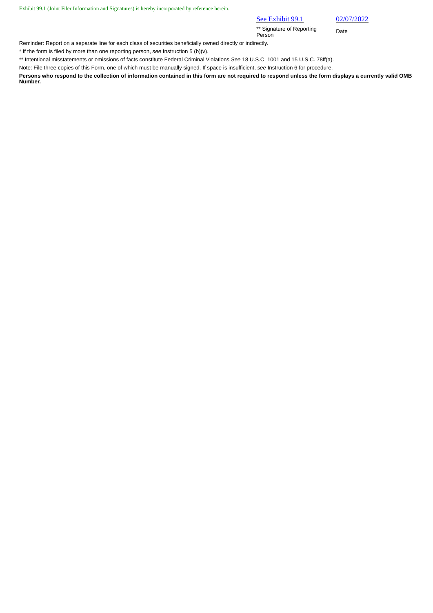Exhibit 99.1 (Joint Filer Information and Signatures) is hereby incorporated by reference herein.

#### See Exhibit 99.1 02/07/2022

\*\* Signature of Reporting Person Date

Reminder: Report on a separate line for each class of securities beneficially owned directly or indirectly.

\* If the form is filed by more than one reporting person, *see* Instruction 5 (b)(v).

\*\* Intentional misstatements or omissions of facts constitute Federal Criminal Violations *See* 18 U.S.C. 1001 and 15 U.S.C. 78ff(a).

Note: File three copies of this Form, one of which must be manually signed. If space is insufficient, *see* Instruction 6 for procedure.

**Persons who respond to the collection of information contained in this form are not required to respond unless the form displays a currently valid OMB Number.**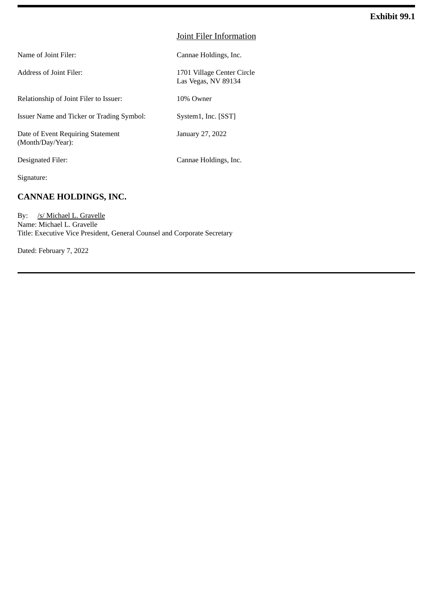#### Joint Filer Information

Las Vegas, NV 89134

Name of Joint Filer: Cannae Holdings, Inc.

Address of Joint Filer: 1701 Village Center Circle

Relationship of Joint Filer to Issuer: 10% Owner

Issuer Name and Ticker or Trading Symbol: System1, Inc. [SST]

Date of Event Requiring Statement (Month/Day/Year):

Designated Filer: Cannae Holdings, Inc.

January 27, 2022

Signature:

### **CANNAE HOLDINGS, INC.**

By: /s/ Michael L. Gravelle Name: Michael L. Gravelle Title: Executive Vice President, General Counsel and Corporate Secretary

Dated: February 7, 2022